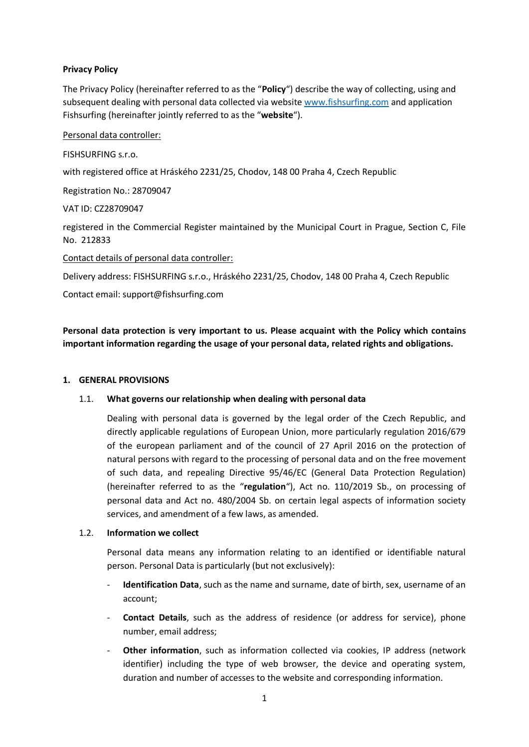# **Privacy Policy**

The Privacy Policy (hereinafter referred to as the "**Policy**") describe the way of collecting, using and subsequent dealing with personal data collected via website [www.fishsurfing.com](http://www.fishsurfing.com/) and application Fishsurfing (hereinafter jointly referred to as the "**website**").

# Personal data controller:

FISHSURFING s.r.o.

with registered office at Hráského 2231/25, Chodov, 148 00 Praha 4, Czech Republic

Registration No.: 28709047

VAT ID: CZ28709047

registered in the Commercial Register maintained by the Municipal Court in Prague, Section C, File No. 212833

# Contact details of personal data controller:

Delivery address: FISHSURFING s.r.o., Hráského 2231/25, Chodov, 148 00 Praha 4, Czech Republic

Contact email: support@fishsurfing.com

**Personal data protection is very important to us. Please acquaint with the Policy which contains important information regarding the usage of your personal data, related rights and obligations.**

#### **1. GENERAL PROVISIONS**

# 1.1. **What governs our relationship when dealing with personal data**

Dealing with personal data is governed by the legal order of the Czech Republic, and directly applicable regulations of European Union, more particularly regulation 2016/679 of the european parliament and of the council of 27 April 2016 on the protection of natural persons with regard to the processing of personal data and on the free movement of such data, and repealing Directive 95/46/EC (General Data Protection Regulation) (hereinafter referred to as the "**regulation**"), Act no. 110/2019 Sb., on processing of personal data and Act no. 480/2004 Sb. on certain legal aspects of information society services, and amendment of a few laws, as amended.

#### 1.2. **Information we collect**

Personal data means any information relating to an identified or identifiable natural person. Personal Data is particularly (but not exclusively):

- **Identification Data**, such as the name and surname, date of birth, sex, username of an account;
- **Contact Details**, such as the address of residence (or address for service), phone number, email address;
- **Other information**, such as information collected via cookies, IP address (network identifier) including the type of web browser, the device and operating system, duration and number of accesses to the website and corresponding information.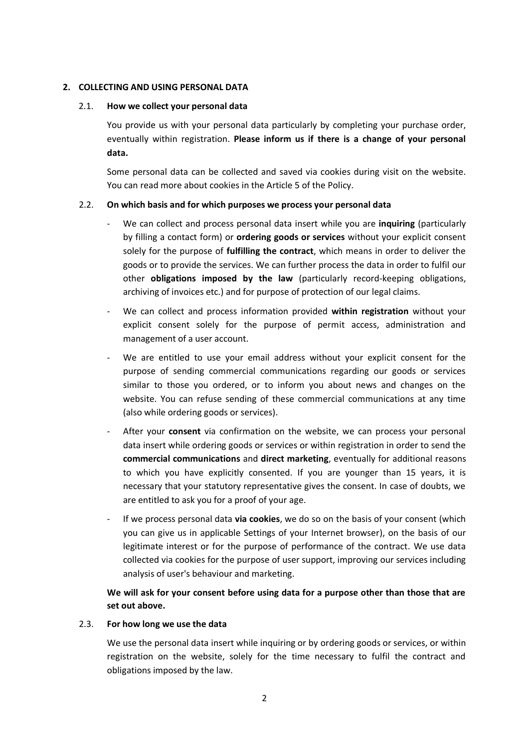# **2. COLLECTING AND USING PERSONAL DATA**

#### 2.1. **How we collect your personal data**

You provide us with your personal data particularly by completing your purchase order, eventually within registration. **Please inform us if there is a change of your personal data.** 

Some personal data can be collected and saved via cookies during visit on the website. You can read more about cookies in the Article 5 of the Policy.

# 2.2. **On which basis and for which purposes we process your personal data**

- We can collect and process personal data insert while you are **inquiring** (particularly by filling a contact form) or **ordering goods or services** without your explicit consent solely for the purpose of **fulfilling the contract**, which means in order to deliver the goods or to provide the services. We can further process the data in order to fulfil our other **obligations imposed by the law** (particularly record-keeping obligations, archiving of invoices etc.) and for purpose of protection of our legal claims.
- We can collect and process information provided **within registration** without your explicit consent solely for the purpose of permit access, administration and management of a user account.
- We are entitled to use your email address without your explicit consent for the purpose of sending commercial communications regarding our goods or services similar to those you ordered, or to inform you about news and changes on the website. You can refuse sending of these commercial communications at any time (also while ordering goods or services).
- After your **consent** via confirmation on the website, we can process your personal data insert while ordering goods or services or within registration in order to send the **commercial communications** and **direct marketing**, eventually for additional reasons to which you have explicitly consented. If you are younger than 15 years, it is necessary that your statutory representative gives the consent. In case of doubts, we are entitled to ask you for a proof of your age.
- If we process personal data **via cookies**, we do so on the basis of your consent (which you can give us in applicable Settings of your Internet browser), on the basis of our legitimate interest or for the purpose of performance of the contract. We use data collected via cookies for the purpose of user support, improving our services including analysis of user's behaviour and marketing.

# **We will ask for your consent before using data for a purpose other than those that are set out above.**

# 2.3. **For how long we use the data**

We use the personal data insert while inquiring or by ordering goods or services, or within registration on the website, solely for the time necessary to fulfil the contract and obligations imposed by the law.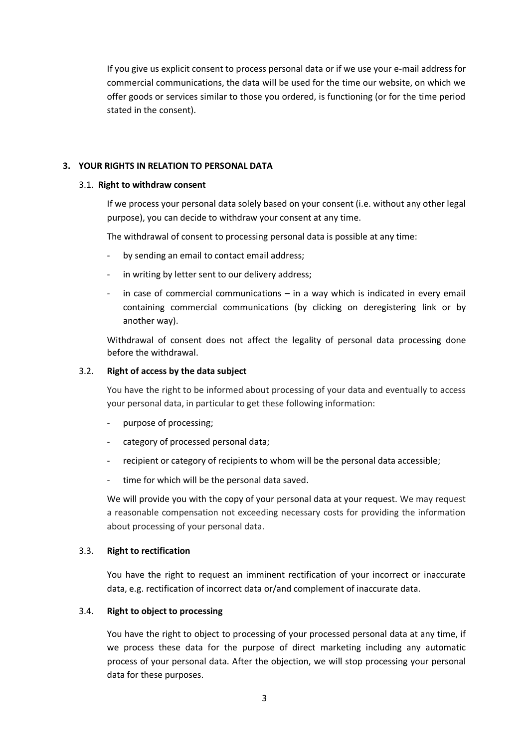If you give us explicit consent to process personal data or if we use your e-mail address for commercial communications, the data will be used for the time our website, on which we offer goods or services similar to those you ordered, is functioning (or for the time period stated in the consent).

# **3. YOUR RIGHTS IN RELATION TO PERSONAL DATA**

# 3.1. **Right to withdraw consent**

If we process your personal data solely based on your consent (i.e. without any other legal purpose), you can decide to withdraw your consent at any time.

The withdrawal of consent to processing personal data is possible at any time:

- by sending an email to contact email address;
- in writing by letter sent to our delivery address;
- in case of commercial communications  $-$  in a way which is indicated in every email containing commercial communications (by clicking on deregistering link or by another way).

Withdrawal of consent does not affect the legality of personal data processing done before the withdrawal.

# 3.2. **Right of access by the data subject**

You have the right to be informed about processing of your data and eventually to access your personal data, in particular to get these following information:

- purpose of processing;
- category of processed personal data;
- recipient or category of recipients to whom will be the personal data accessible;
- time for which will be the personal data saved.

We will provide you with the copy of your personal data at your request. We may request a reasonable compensation not exceeding necessary costs for providing the information about processing of your personal data.

#### 3.3. **Right to rectification**

You have the right to request an imminent rectification of your incorrect or inaccurate data, e.g. rectification of incorrect data or/and complement of inaccurate data.

#### 3.4. **Right to object to processing**

You have the right to object to processing of your processed personal data at any time, if we process these data for the purpose of direct marketing including any automatic process of your personal data. After the objection, we will stop processing your personal data for these purposes.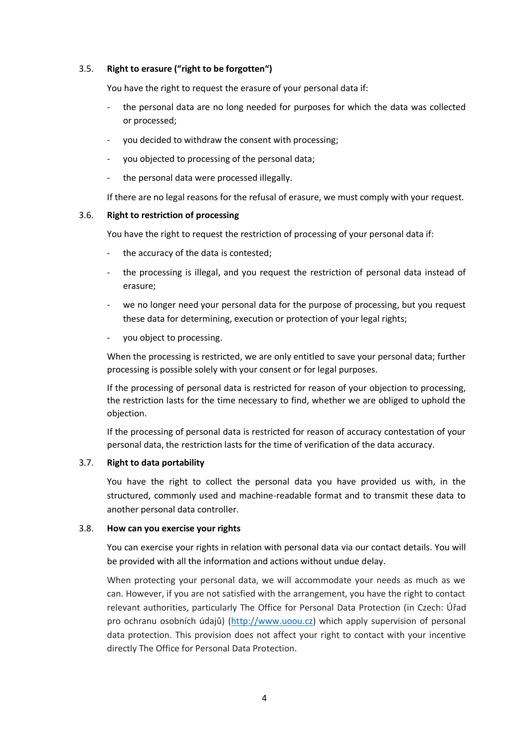# 3.5. **Right to erasure ("right to be forgotten")**

You have the right to request the erasure of your personal data if:

- the personal data are no long needed for purposes for which the data was collected or processed;
- you decided to withdraw the consent with processing;
- you objected to processing of the personal data;
- the personal data were processed illegally.

If there are no legal reasons for the refusal of erasure, we must comply with your request.

# 3.6. **Right to restriction of processing**

You have the right to request the restriction of processing of your personal data if:

- the accuracy of the data is contested;
- the processing is illegal, and you request the restriction of personal data instead of erasure;
- we no longer need your personal data for the purpose of processing, but you request these data for determining, execution or protection of your legal rights;
- you object to processing.

When the processing is restricted, we are only entitled to save your personal data; further processing is possible solely with your consent or for legal purposes.

If the processing of personal data is restricted for reason of your objection to processing, the restriction lasts for the time necessary to find, whether we are obliged to uphold the objection.

If the processing of personal data is restricted for reason of accuracy contestation of your personal data, the restriction lasts for the time of verification of the data accuracy.

# 3.7. **Right to data portability**

You have the right to collect the personal data you have provided us with, in the structured, commonly used and machine-readable format and to transmit these data to another personal data controller.

# 3.8. **How can you exercise your rights**

You can exercise your rights in relation with personal data via our contact details. You will be provided with all the information and actions without undue delay.

When protecting your personal data, we will accommodate your needs as much as we can. However, if you are not satisfied with the arrangement, you have the right to contact relevant authorities, particularly The Office for Personal Data Protection (in Czech: Úřad pro ochranu osobních údajů) [\(http://www.uoou.cz\)](http://www.uoou.cz/) which apply supervision of personal data protection. This provision does not affect your right to contact with your incentive directly The Office for Personal Data Protection.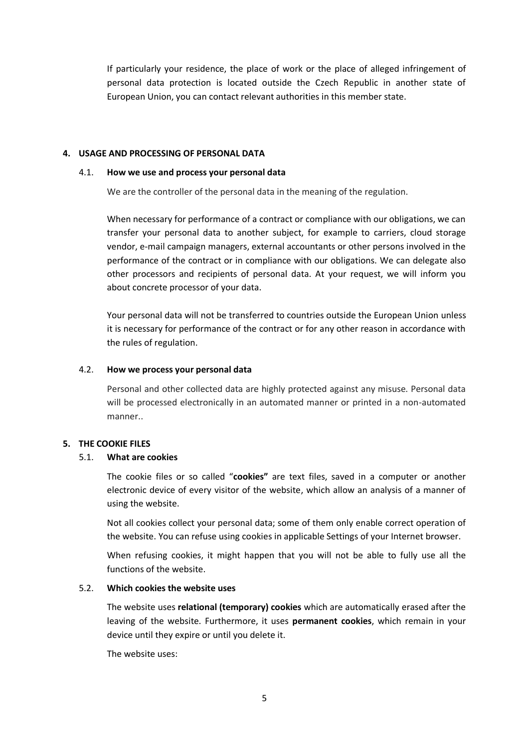If particularly your residence, the place of work or the place of alleged infringement of personal data protection is located outside the Czech Republic in another state of European Union, you can contact relevant authorities in this member state.

# **4. USAGE AND PROCESSING OF PERSONAL DATA**

#### 4.1. **How we use and process your personal data**

We are the controller of the personal data in the meaning of the regulation.

When necessary for performance of a contract or compliance with our obligations, we can transfer your personal data to another subject, for example to carriers, cloud storage vendor, e-mail campaign managers, external accountants or other persons involved in the performance of the contract or in compliance with our obligations. We can delegate also other processors and recipients of personal data. At your request, we will inform you about concrete processor of your data.

Your personal data will not be transferred to countries outside the European Union unless it is necessary for performance of the contract or for any other reason in accordance with the rules of regulation.

### 4.2. **How we process your personal data**

Personal and other collected data are highly protected against any misuse. Personal data will be processed electronically in an automated manner or printed in a non-automated manner..

# **5. THE COOKIE FILES**

# 5.1. **What are cookies**

The cookie files or so called "**cookies"** are text files, saved in a computer or another electronic device of every visitor of the website, which allow an analysis of a manner of using the website.

Not all cookies collect your personal data; some of them only enable correct operation of the website. You can refuse using cookies in applicable Settings of your Internet browser.

When refusing cookies, it might happen that you will not be able to fully use all the functions of the website.

# 5.2. **Which cookies the website uses**

The website uses **relational (temporary) cookies** which are automatically erased after the leaving of the website. Furthermore, it uses **permanent cookies**, which remain in your device until they expire or until you delete it.

The website uses: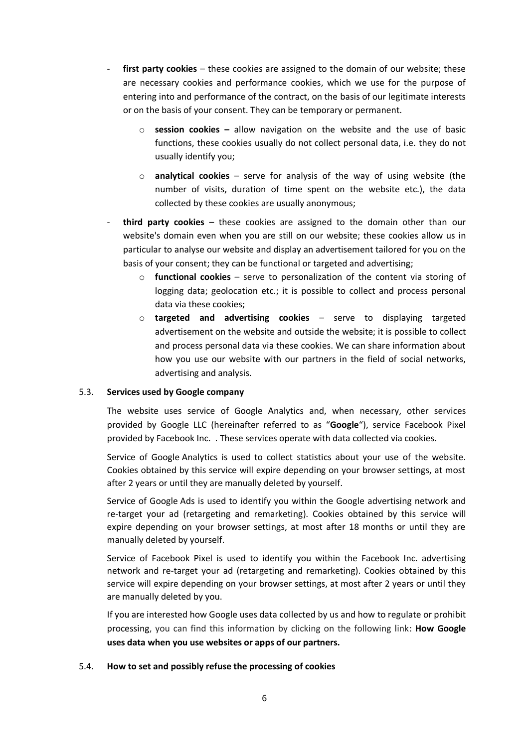- first party cookies these cookies are assigned to the domain of our website; these are necessary cookies and performance cookies, which we use for the purpose of entering into and performance of the contract, on the basis of our legitimate interests or on the basis of your consent. They can be temporary or permanent.
	- o **session cookies –** allow navigation on the website and the use of basic functions, these cookies usually do not collect personal data, i.e. they do not usually identify you;
	- o **analytical cookies**  serve for analysis of the way of using website (the number of visits, duration of time spent on the website etc.), the data collected by these cookies are usually anonymous;
- **third party cookies** these cookies are assigned to the domain other than our website's domain even when you are still on our website; these cookies allow us in particular to analyse our website and display an advertisement tailored for you on the basis of your consent; they can be functional or targeted and advertising;
	- o **functional cookies** serve to personalization of the content via storing of logging data; geolocation etc.; it is possible to collect and process personal data via these cookies;
	- o **targeted and advertising cookies**  serve to displaying targeted advertisement on the website and outside the website; it is possible to collect and process personal data via these cookies. We can share information about how you use our website with our partners in the field of social networks, advertising and analysis.

# 5.3. **Services used by Google company**

The website uses service of Google Analytics and, when necessary, other services provided by Google LLC (hereinafter referred to as "**Google**"), service Facebook Pixel provided by Facebook Inc. . These services operate with data collected via cookies.

Service of Google Analytics is used to collect statistics about your use of the website. Cookies obtained by this service will expire depending on your browser settings, at most after 2 years or until they are manually deleted by yourself.

Service of Google Ads is used to identify you within the Google advertising network and re-target your ad (retargeting and remarketing). Cookies obtained by this service will expire depending on your browser settings, at most after 18 months or until they are manually deleted by yourself.

Service of Facebook Pixel is used to identify you within the Facebook Inc. advertising network and re-target your ad (retargeting and remarketing). Cookies obtained by this service will expire depending on your browser settings, at most after 2 years or until they are manually deleted by you.

If you are interested how Google uses data collected by us and how to regulate or prohibit processing, you can find this information by clicking on the following link: **How Google uses data when you use websites or apps of our partners.**

# 5.4. **How to set and possibly refuse the processing of cookies**